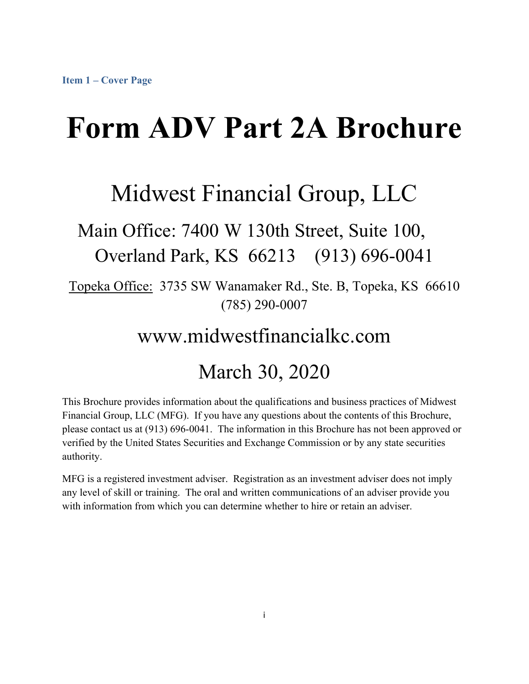# **Form ADV Part 2A Brochure**

# Midwest Financial Group, LLC

## Main Office: 7400 W 130th Street, Suite 100, Overland Park, KS 66213 (913) 696-0041

Topeka Office: 3735 SW Wanamaker Rd., Ste. B, Topeka, KS 66610 (785) 290-0007

# www.midwestfinancialkc.com

## March 30, 2020

This Brochure provides information about the qualifications and business practices of Midwest Financial Group, LLC (MFG). If you have any questions about the contents of this Brochure, please contact us at (913) 696-0041. The information in this Brochure has not been approved or verified by the United States Securities and Exchange Commission or by any state securities authority.

MFG is a registered investment adviser. Registration as an investment adviser does not imply any level of skill or training. The oral and written communications of an adviser provide you with information from which you can determine whether to hire or retain an adviser.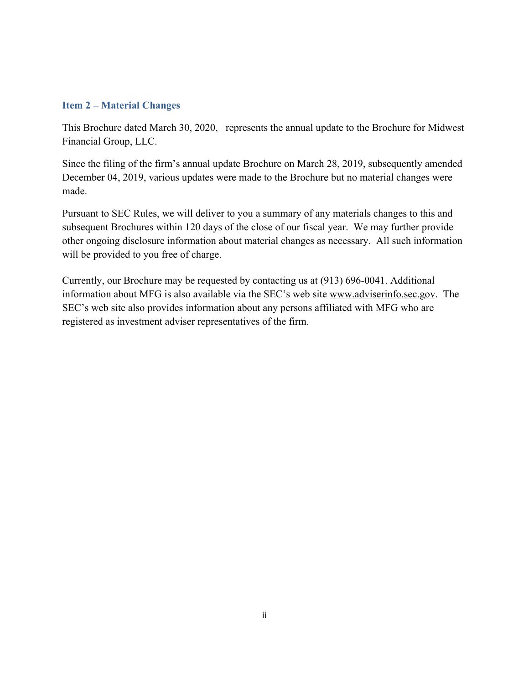#### **Item 2 – Material Changes**

This Brochure dated March 30, 2020, represents the annual update to the Brochure for Midwest Financial Group, LLC.

Since the filing of the firm's annual update Brochure on March 28, 2019, subsequently amended December 04, 2019, various updates were made to the Brochure but no material changes were made.

Pursuant to SEC Rules, we will deliver to you a summary of any materials changes to this and subsequent Brochures within 120 days of the close of our fiscal year. We may further provide other ongoing disclosure information about material changes as necessary. All such information will be provided to you free of charge.

Currently, our Brochure may be requested by contacting us at (913) 696-0041. Additional information about MFG is also available via the SEC's web site www.adviserinfo.sec.gov. The SEC's web site also provides information about any persons affiliated with MFG who are registered as investment adviser representatives of the firm.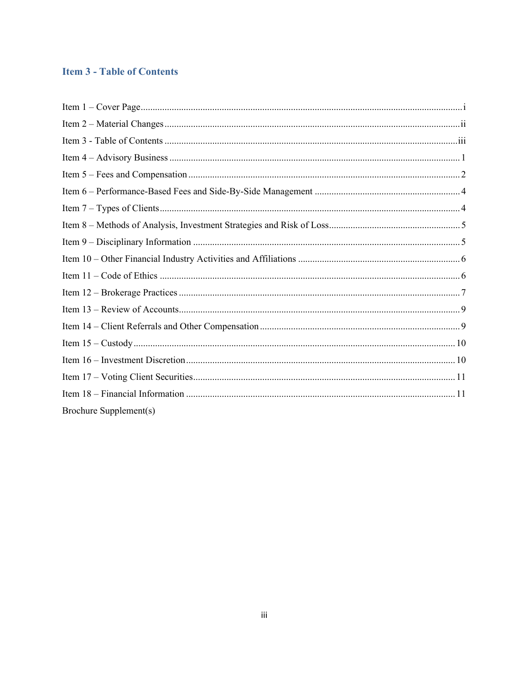#### **Item 3 - Table of Contents**

| Brochure Supplement(s) |  |
|------------------------|--|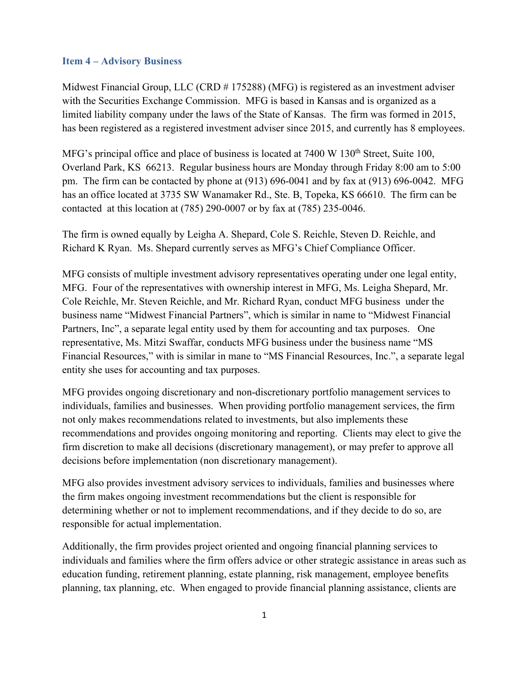#### **Item 4 – Advisory Business**

Midwest Financial Group, LLC (CRD # 175288) (MFG) is registered as an investment adviser with the Securities Exchange Commission. MFG is based in Kansas and is organized as a limited liability company under the laws of the State of Kansas. The firm was formed in 2015, has been registered as a registered investment adviser since 2015, and currently has 8 employees.

MFG's principal office and place of business is located at  $7400 \text{ W } 130^{\text{th}}$  Street, Suite 100, Overland Park, KS 66213. Regular business hours are Monday through Friday 8:00 am to 5:00 pm. The firm can be contacted by phone at (913) 696-0041 and by fax at (913) 696-0042. MFG has an office located at 3735 SW Wanamaker Rd., Ste. B, Topeka, KS 66610. The firm can be contacted at this location at (785) 290-0007 or by fax at (785) 235-0046.

The firm is owned equally by Leigha A. Shepard, Cole S. Reichle, Steven D. Reichle, and Richard K Ryan. Ms. Shepard currently serves as MFG's Chief Compliance Officer.

MFG consists of multiple investment advisory representatives operating under one legal entity, MFG. Four of the representatives with ownership interest in MFG, Ms. Leigha Shepard, Mr. Cole Reichle, Mr. Steven Reichle, and Mr. Richard Ryan, conduct MFG business under the business name "Midwest Financial Partners", which is similar in name to "Midwest Financial Partners, Inc", a separate legal entity used by them for accounting and tax purposes. One representative, Ms. Mitzi Swaffar, conducts MFG business under the business name "MS Financial Resources," with is similar in mane to "MS Financial Resources, Inc.", a separate legal entity she uses for accounting and tax purposes.

MFG provides ongoing discretionary and non-discretionary portfolio management services to individuals, families and businesses. When providing portfolio management services, the firm not only makes recommendations related to investments, but also implements these recommendations and provides ongoing monitoring and reporting. Clients may elect to give the firm discretion to make all decisions (discretionary management), or may prefer to approve all decisions before implementation (non discretionary management).

MFG also provides investment advisory services to individuals, families and businesses where the firm makes ongoing investment recommendations but the client is responsible for determining whether or not to implement recommendations, and if they decide to do so, are responsible for actual implementation.

Additionally, the firm provides project oriented and ongoing financial planning services to individuals and families where the firm offers advice or other strategic assistance in areas such as education funding, retirement planning, estate planning, risk management, employee benefits planning, tax planning, etc. When engaged to provide financial planning assistance, clients are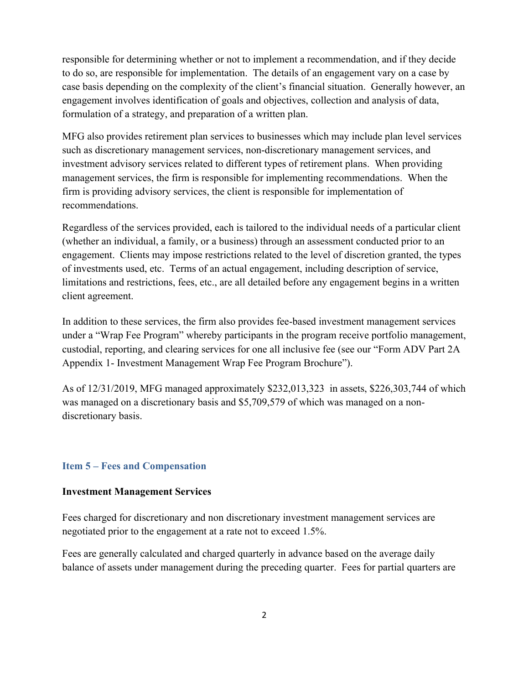responsible for determining whether or not to implement a recommendation, and if they decide to do so, are responsible for implementation. The details of an engagement vary on a case by case basis depending on the complexity of the client's financial situation. Generally however, an engagement involves identification of goals and objectives, collection and analysis of data, formulation of a strategy, and preparation of a written plan.

MFG also provides retirement plan services to businesses which may include plan level services such as discretionary management services, non-discretionary management services, and investment advisory services related to different types of retirement plans. When providing management services, the firm is responsible for implementing recommendations. When the firm is providing advisory services, the client is responsible for implementation of recommendations.

Regardless of the services provided, each is tailored to the individual needs of a particular client (whether an individual, a family, or a business) through an assessment conducted prior to an engagement. Clients may impose restrictions related to the level of discretion granted, the types of investments used, etc. Terms of an actual engagement, including description of service, limitations and restrictions, fees, etc., are all detailed before any engagement begins in a written client agreement.

In addition to these services, the firm also provides fee-based investment management services under a "Wrap Fee Program" whereby participants in the program receive portfolio management, custodial, reporting, and clearing services for one all inclusive fee (see our "Form ADV Part 2A Appendix 1- Investment Management Wrap Fee Program Brochure").

As of 12/31/2019, MFG managed approximately \$232,013,323 in assets, \$226,303,744 of which was managed on a discretionary basis and \$5,709,579 of which was managed on a nondiscretionary basis.

#### **Item 5 – Fees and Compensation**

#### **Investment Management Services**

Fees charged for discretionary and non discretionary investment management services are negotiated prior to the engagement at a rate not to exceed 1.5%.

Fees are generally calculated and charged quarterly in advance based on the average daily balance of assets under management during the preceding quarter. Fees for partial quarters are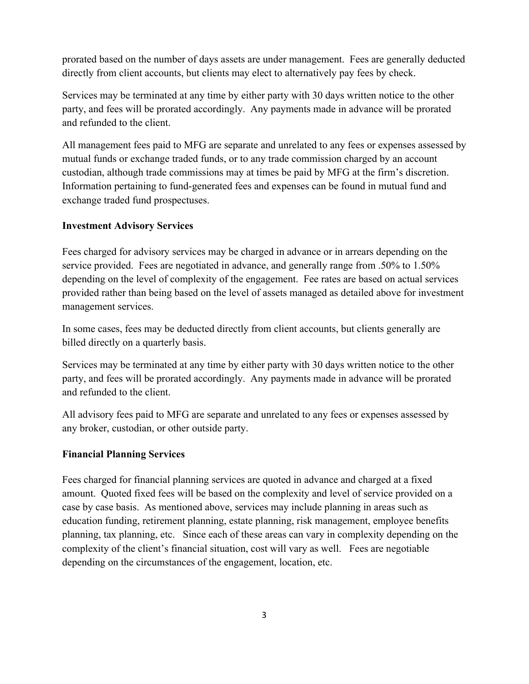prorated based on the number of days assets are under management. Fees are generally deducted directly from client accounts, but clients may elect to alternatively pay fees by check.

Services may be terminated at any time by either party with 30 days written notice to the other party, and fees will be prorated accordingly. Any payments made in advance will be prorated and refunded to the client.

All management fees paid to MFG are separate and unrelated to any fees or expenses assessed by mutual funds or exchange traded funds, or to any trade commission charged by an account custodian, although trade commissions may at times be paid by MFG at the firm's discretion. Information pertaining to fund-generated fees and expenses can be found in mutual fund and exchange traded fund prospectuses.

#### **Investment Advisory Services**

Fees charged for advisory services may be charged in advance or in arrears depending on the service provided. Fees are negotiated in advance, and generally range from .50% to 1.50% depending on the level of complexity of the engagement. Fee rates are based on actual services provided rather than being based on the level of assets managed as detailed above for investment management services.

In some cases, fees may be deducted directly from client accounts, but clients generally are billed directly on a quarterly basis.

Services may be terminated at any time by either party with 30 days written notice to the other party, and fees will be prorated accordingly. Any payments made in advance will be prorated and refunded to the client.

All advisory fees paid to MFG are separate and unrelated to any fees or expenses assessed by any broker, custodian, or other outside party.

#### **Financial Planning Services**

Fees charged for financial planning services are quoted in advance and charged at a fixed amount. Quoted fixed fees will be based on the complexity and level of service provided on a case by case basis. As mentioned above, services may include planning in areas such as education funding, retirement planning, estate planning, risk management, employee benefits planning, tax planning, etc. Since each of these areas can vary in complexity depending on the complexity of the client's financial situation, cost will vary as well. Fees are negotiable depending on the circumstances of the engagement, location, etc.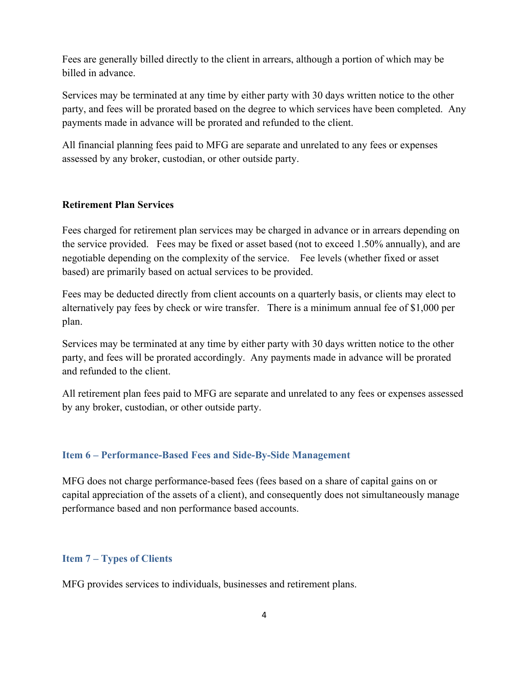Fees are generally billed directly to the client in arrears, although a portion of which may be billed in advance.

Services may be terminated at any time by either party with 30 days written notice to the other party, and fees will be prorated based on the degree to which services have been completed. Any payments made in advance will be prorated and refunded to the client.

All financial planning fees paid to MFG are separate and unrelated to any fees or expenses assessed by any broker, custodian, or other outside party.

#### **Retirement Plan Services**

Fees charged for retirement plan services may be charged in advance or in arrears depending on the service provided. Fees may be fixed or asset based (not to exceed 1.50% annually), and are negotiable depending on the complexity of the service. Fee levels (whether fixed or asset based) are primarily based on actual services to be provided.

Fees may be deducted directly from client accounts on a quarterly basis, or clients may elect to alternatively pay fees by check or wire transfer. There is a minimum annual fee of \$1,000 per plan.

Services may be terminated at any time by either party with 30 days written notice to the other party, and fees will be prorated accordingly. Any payments made in advance will be prorated and refunded to the client.

All retirement plan fees paid to MFG are separate and unrelated to any fees or expenses assessed by any broker, custodian, or other outside party.

#### **Item 6 – Performance-Based Fees and Side-By-Side Management**

MFG does not charge performance-based fees (fees based on a share of capital gains on or capital appreciation of the assets of a client), and consequently does not simultaneously manage performance based and non performance based accounts.

#### **Item 7 – Types of Clients**

MFG provides services to individuals, businesses and retirement plans.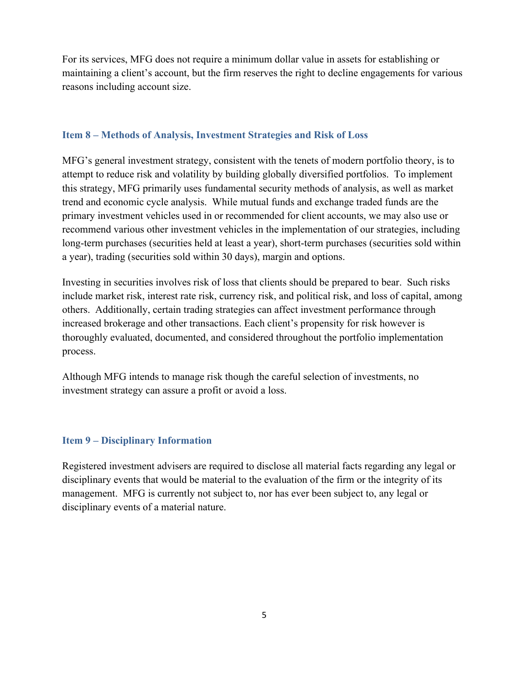For its services, MFG does not require a minimum dollar value in assets for establishing or maintaining a client's account, but the firm reserves the right to decline engagements for various reasons including account size.

#### **Item 8 – Methods of Analysis, Investment Strategies and Risk of Loss**

MFG's general investment strategy, consistent with the tenets of modern portfolio theory, is to attempt to reduce risk and volatility by building globally diversified portfolios. To implement this strategy, MFG primarily uses fundamental security methods of analysis, as well as market trend and economic cycle analysis. While mutual funds and exchange traded funds are the primary investment vehicles used in or recommended for client accounts, we may also use or recommend various other investment vehicles in the implementation of our strategies, including long-term purchases (securities held at least a year), short-term purchases (securities sold within a year), trading (securities sold within 30 days), margin and options.

Investing in securities involves risk of loss that clients should be prepared to bear. Such risks include market risk, interest rate risk, currency risk, and political risk, and loss of capital, among others. Additionally, certain trading strategies can affect investment performance through increased brokerage and other transactions. Each client's propensity for risk however is thoroughly evaluated, documented, and considered throughout the portfolio implementation process.

Although MFG intends to manage risk though the careful selection of investments, no investment strategy can assure a profit or avoid a loss.

#### **Item 9 – Disciplinary Information**

Registered investment advisers are required to disclose all material facts regarding any legal or disciplinary events that would be material to the evaluation of the firm or the integrity of its management. MFG is currently not subject to, nor has ever been subject to, any legal or disciplinary events of a material nature.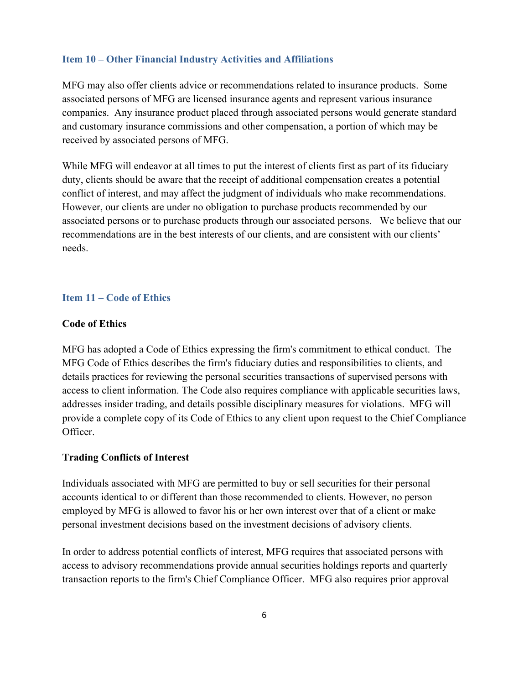#### **Item 10 – Other Financial Industry Activities and Affiliations**

MFG may also offer clients advice or recommendations related to insurance products. Some associated persons of MFG are licensed insurance agents and represent various insurance companies. Any insurance product placed through associated persons would generate standard and customary insurance commissions and other compensation, a portion of which may be received by associated persons of MFG.

While MFG will endeavor at all times to put the interest of clients first as part of its fiduciary duty, clients should be aware that the receipt of additional compensation creates a potential conflict of interest, and may affect the judgment of individuals who make recommendations. However, our clients are under no obligation to purchase products recommended by our associated persons or to purchase products through our associated persons. We believe that our recommendations are in the best interests of our clients, and are consistent with our clients' needs.

#### **Item 11 – Code of Ethics**

#### **Code of Ethics**

MFG has adopted a Code of Ethics expressing the firm's commitment to ethical conduct. The MFG Code of Ethics describes the firm's fiduciary duties and responsibilities to clients, and details practices for reviewing the personal securities transactions of supervised persons with access to client information. The Code also requires compliance with applicable securities laws, addresses insider trading, and details possible disciplinary measures for violations. MFG will provide a complete copy of its Code of Ethics to any client upon request to the Chief Compliance Officer.

#### **Trading Conflicts of Interest**

Individuals associated with MFG are permitted to buy or sell securities for their personal accounts identical to or different than those recommended to clients. However, no person employed by MFG is allowed to favor his or her own interest over that of a client or make personal investment decisions based on the investment decisions of advisory clients.

In order to address potential conflicts of interest, MFG requires that associated persons with access to advisory recommendations provide annual securities holdings reports and quarterly transaction reports to the firm's Chief Compliance Officer. MFG also requires prior approval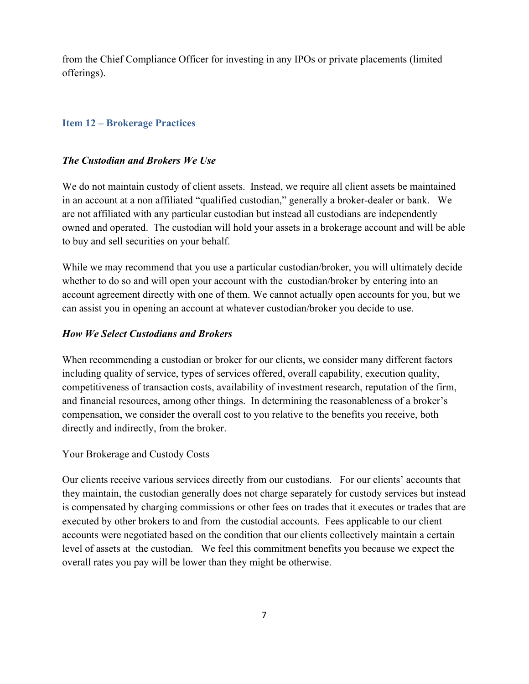from the Chief Compliance Officer for investing in any IPOs or private placements (limited offerings).

#### **Item 12 – Brokerage Practices**

#### *The Custodian and Brokers We Use*

We do not maintain custody of client assets. Instead, we require all client assets be maintained in an account at a non affiliated "qualified custodian," generally a broker-dealer or bank. We are not affiliated with any particular custodian but instead all custodians are independently owned and operated. The custodian will hold your assets in a brokerage account and will be able to buy and sell securities on your behalf.

While we may recommend that you use a particular custodian/broker, you will ultimately decide whether to do so and will open your account with the custodian/broker by entering into an account agreement directly with one of them. We cannot actually open accounts for you, but we can assist you in opening an account at whatever custodian/broker you decide to use.

#### *How We Select Custodians and Brokers*

When recommending a custodian or broker for our clients, we consider many different factors including quality of service, types of services offered, overall capability, execution quality, competitiveness of transaction costs, availability of investment research, reputation of the firm, and financial resources, among other things. In determining the reasonableness of a broker's compensation, we consider the overall cost to you relative to the benefits you receive, both directly and indirectly, from the broker.

#### Your Brokerage and Custody Costs

Our clients receive various services directly from our custodians. For our clients' accounts that they maintain, the custodian generally does not charge separately for custody services but instead is compensated by charging commissions or other fees on trades that it executes or trades that are executed by other brokers to and from the custodial accounts. Fees applicable to our client accounts were negotiated based on the condition that our clients collectively maintain a certain level of assets at the custodian. We feel this commitment benefits you because we expect the overall rates you pay will be lower than they might be otherwise.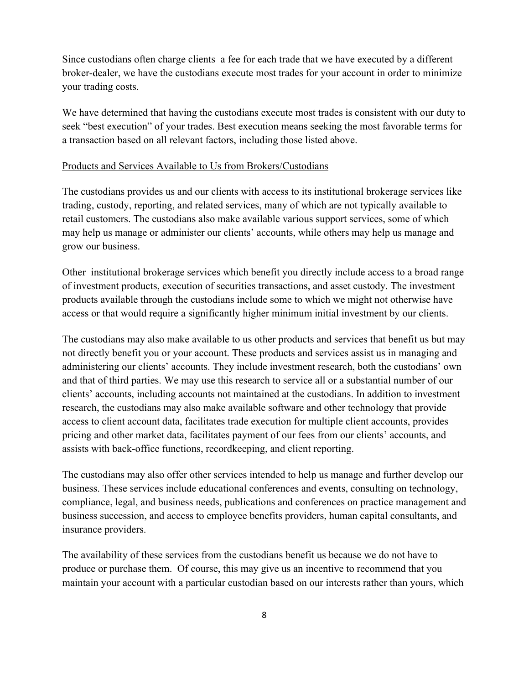Since custodians often charge clients a fee for each trade that we have executed by a different broker-dealer, we have the custodians execute most trades for your account in order to minimize your trading costs.

We have determined that having the custodians execute most trades is consistent with our duty to seek "best execution" of your trades. Best execution means seeking the most favorable terms for a transaction based on all relevant factors, including those listed above.

#### Products and Services Available to Us from Brokers/Custodians

The custodians provides us and our clients with access to its institutional brokerage services like trading, custody, reporting, and related services, many of which are not typically available to retail customers. The custodians also make available various support services, some of which may help us manage or administer our clients' accounts, while others may help us manage and grow our business.

Other institutional brokerage services which benefit you directly include access to a broad range of investment products, execution of securities transactions, and asset custody. The investment products available through the custodians include some to which we might not otherwise have access or that would require a significantly higher minimum initial investment by our clients.

The custodians may also make available to us other products and services that benefit us but may not directly benefit you or your account. These products and services assist us in managing and administering our clients' accounts. They include investment research, both the custodians' own and that of third parties. We may use this research to service all or a substantial number of our clients' accounts, including accounts not maintained at the custodians. In addition to investment research, the custodians may also make available software and other technology that provide access to client account data, facilitates trade execution for multiple client accounts, provides pricing and other market data, facilitates payment of our fees from our clients' accounts, and assists with back-office functions, recordkeeping, and client reporting.

The custodians may also offer other services intended to help us manage and further develop our business. These services include educational conferences and events, consulting on technology, compliance, legal, and business needs, publications and conferences on practice management and business succession, and access to employee benefits providers, human capital consultants, and insurance providers.

The availability of these services from the custodians benefit us because we do not have to produce or purchase them. Of course, this may give us an incentive to recommend that you maintain your account with a particular custodian based on our interests rather than yours, which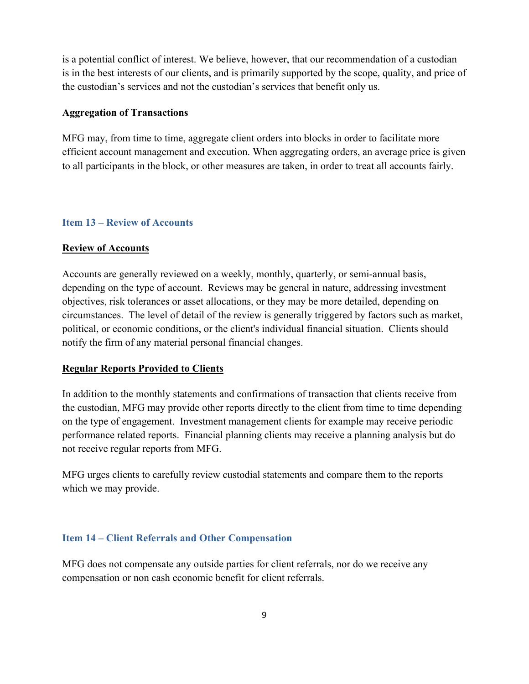is a potential conflict of interest. We believe, however, that our recommendation of a custodian is in the best interests of our clients, and is primarily supported by the scope, quality, and price of the custodian's services and not the custodian's services that benefit only us.

#### **Aggregation of Transactions**

MFG may, from time to time, aggregate client orders into blocks in order to facilitate more efficient account management and execution. When aggregating orders, an average price is given to all participants in the block, or other measures are taken, in order to treat all accounts fairly.

#### **Item 13 – Review of Accounts**

#### **Review of Accounts**

Accounts are generally reviewed on a weekly, monthly, quarterly, or semi-annual basis, depending on the type of account. Reviews may be general in nature, addressing investment objectives, risk tolerances or asset allocations, or they may be more detailed, depending on circumstances. The level of detail of the review is generally triggered by factors such as market, political, or economic conditions, or the client's individual financial situation. Clients should notify the firm of any material personal financial changes.

#### **Regular Reports Provided to Clients**

In addition to the monthly statements and confirmations of transaction that clients receive from the custodian, MFG may provide other reports directly to the client from time to time depending on the type of engagement. Investment management clients for example may receive periodic performance related reports. Financial planning clients may receive a planning analysis but do not receive regular reports from MFG.

MFG urges clients to carefully review custodial statements and compare them to the reports which we may provide.

#### **Item 14 – Client Referrals and Other Compensation**

MFG does not compensate any outside parties for client referrals, nor do we receive any compensation or non cash economic benefit for client referrals.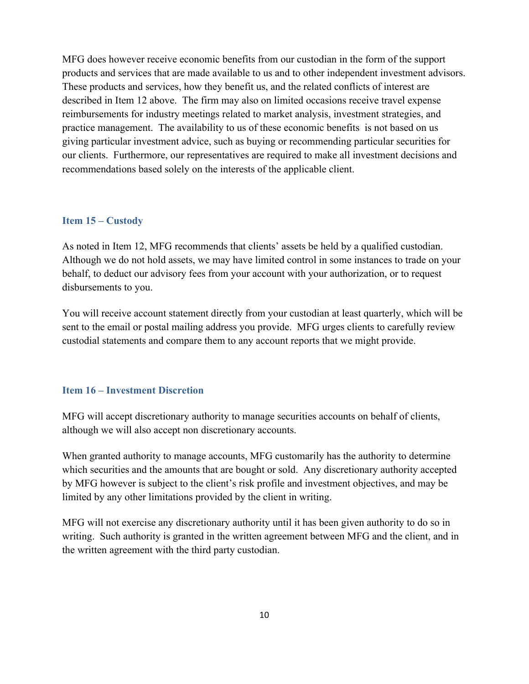MFG does however receive economic benefits from our custodian in the form of the support products and services that are made available to us and to other independent investment advisors. These products and services, how they benefit us, and the related conflicts of interest are described in Item 12 above. The firm may also on limited occasions receive travel expense reimbursements for industry meetings related to market analysis, investment strategies, and practice management. The availability to us of these economic benefits is not based on us giving particular investment advice, such as buying or recommending particular securities for our clients. Furthermore, our representatives are required to make all investment decisions and recommendations based solely on the interests of the applicable client.

#### **Item 15 – Custody**

As noted in Item 12, MFG recommends that clients' assets be held by a qualified custodian. Although we do not hold assets, we may have limited control in some instances to trade on your behalf, to deduct our advisory fees from your account with your authorization, or to request disbursements to you.

You will receive account statement directly from your custodian at least quarterly, which will be sent to the email or postal mailing address you provide. MFG urges clients to carefully review custodial statements and compare them to any account reports that we might provide.

#### **Item 16 – Investment Discretion**

MFG will accept discretionary authority to manage securities accounts on behalf of clients, although we will also accept non discretionary accounts.

When granted authority to manage accounts, MFG customarily has the authority to determine which securities and the amounts that are bought or sold. Any discretionary authority accepted by MFG however is subject to the client's risk profile and investment objectives, and may be limited by any other limitations provided by the client in writing.

MFG will not exercise any discretionary authority until it has been given authority to do so in writing. Such authority is granted in the written agreement between MFG and the client, and in the written agreement with the third party custodian.